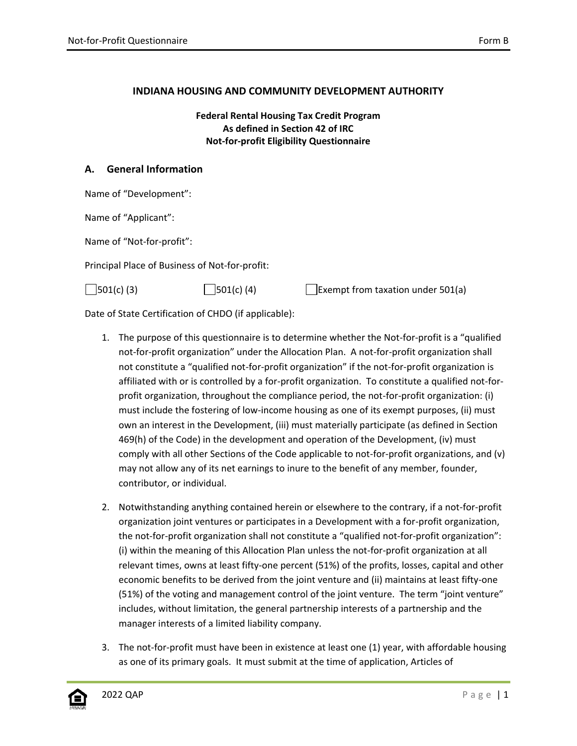#### **INDIANA HOUSING AND COMMUNITY DEVELOPMENT AUTHORITY**

**Federal Rental Housing Tax Credit Program As defined in Section 42 of IRC Not-for-profit Eligibility Questionnaire**

#### **A. General Information**

|  |  |  | Name of "Development": |  |
|--|--|--|------------------------|--|
|--|--|--|------------------------|--|

Name of "Applicant":

Name of "Not-for-profit":

Principal Place of Business of Not-for-profit:

| $501(c)$ (3) | $301(c)$ (4) | Exempt from taxation under $501(a)$ |
|--------------|--------------|-------------------------------------|
|--------------|--------------|-------------------------------------|

Date of State Certification of CHDO (if applicable):

- 1. The purpose of this questionnaire is to determine whether the Not-for-profit is a "qualified not-for-profit organization" under the Allocation Plan. A not-for-profit organization shall not constitute a "qualified not-for-profit organization" if the not-for-profit organization is affiliated with or is controlled by a for-profit organization. To constitute a qualified not-forprofit organization, throughout the compliance period, the not-for-profit organization: (i) must include the fostering of low-income housing as one of its exempt purposes, (ii) must own an interest in the Development, (iii) must materially participate (as defined in Section 469(h) of the Code) in the development and operation of the Development, (iv) must comply with all other Sections of the Code applicable to not-for-profit organizations, and (v) may not allow any of its net earnings to inure to the benefit of any member, founder, contributor, or individual.
- 2. Notwithstanding anything contained herein or elsewhere to the contrary, if a not-for-profit organization joint ventures or participates in a Development with a for-profit organization, the not-for-profit organization shall not constitute a "qualified not-for-profit organization": (i) within the meaning of this Allocation Plan unless the not-for-profit organization at all relevant times, owns at least fifty-one percent (51%) of the profits, losses, capital and other economic benefits to be derived from the joint venture and (ii) maintains at least fifty-one (51%) of the voting and management control of the joint venture. The term "joint venture" includes, without limitation, the general partnership interests of a partnership and the manager interests of a limited liability company.
- 3. The not-for-profit must have been in existence at least one (1) year, with affordable housing as one of its primary goals. It must submit at the time of application, Articles of

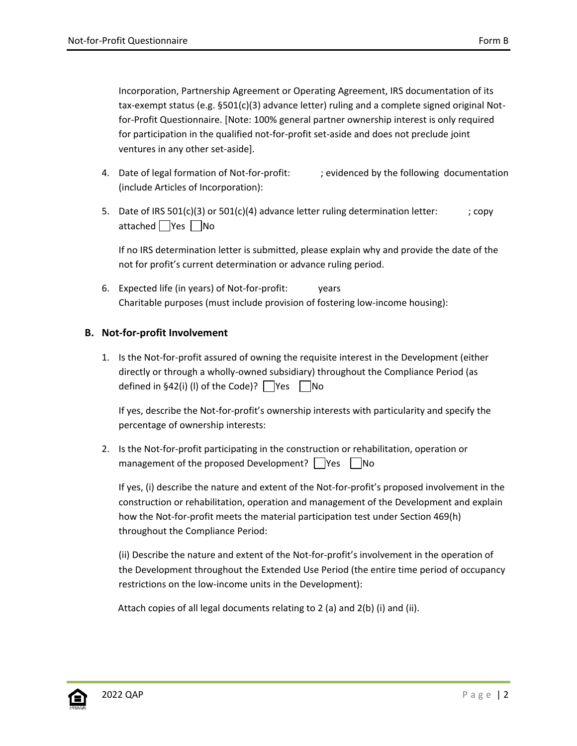Incorporation, Partnership Agreement or Operating Agreement, IRS documentation of its tax-exempt status (e.g. §501(c)(3) advance letter) ruling and a complete signed original Notfor-Profit Questionnaire. [Note: 100% general partner ownership interest is only required for participation in the qualified not-for-profit set-aside and does not preclude joint ventures in any other set-aside].

- 4. Date of legal formation of Not-for-profit:  $\qquad$ ; evidenced by the following documentation (include Articles of Incorporation):
- 5. Date of IRS  $501(c)(3)$  or  $501(c)(4)$  advance letter ruling determination letter:  $\qquad$  ; copy attached  $\Box$  Yes  $\Box$  No

If no IRS determination letter is submitted, please explain why and provide the date of the not for profit's current determination or advance ruling period.

6. Expected life (in years) of Not-for-profit: years Charitable purposes (must include provision of fostering low-income housing):

### **B. Not-for-profit Involvement**

1. Is the Not-for-profit assured of owning the requisite interest in the Development (either directly or through a wholly-owned subsidiary) throughout the Compliance Period (as defined in §42(i) (I) of the Code)?  $\Box$  Yes  $\Box$  No

If yes, describe the Not-for-profit's ownership interests with particularity and specify the percentage of ownership interests:

2. Is the Not-for-profit participating in the construction or rehabilitation, operation or management of the proposed Development?  $\Box$ Yes  $\Box$ No

If yes, (i) describe the nature and extent of the Not-for-profit's proposed involvement in the construction or rehabilitation, operation and management of the Development and explain how the Not-for-profit meets the material participation test under Section 469(h) throughout the Compliance Period:

(ii) Describe the nature and extent of the Not-for-profit's involvement in the operation of the Development throughout the Extended Use Period (the entire time period of occupancy restrictions on the low-income units in the Development):

Attach copies of all legal documents relating to 2 (a) and 2(b) (i) and (ii).

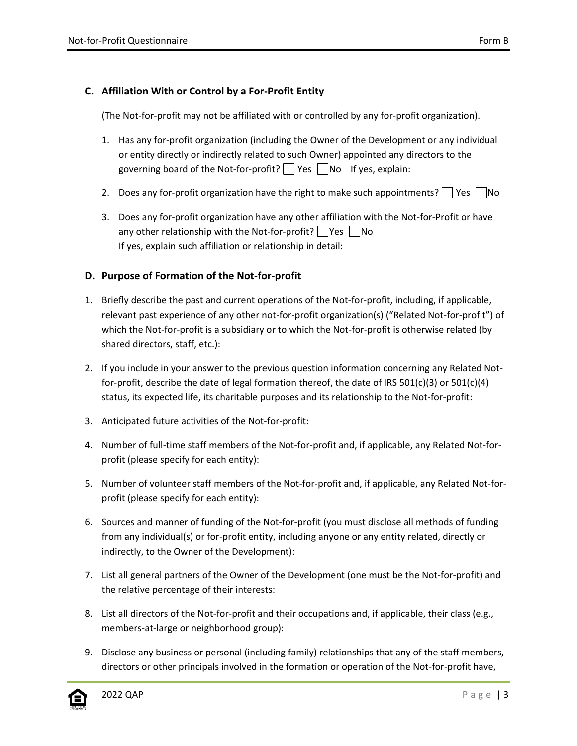## **C. Affiliation With or Control by a For-Profit Entity**

(The Not-for-profit may not be affiliated with or controlled by any for-profit organization).

- 1. Has any for-profit organization (including the Owner of the Development or any individual or entity directly or indirectly related to such Owner) appointed any directors to the governing board of the Not-for-profit?  $\vert \vert$  Yes  $\vert \vert$  No If yes, explain:
- 2. Does any for-profit organization have the right to make such appointments?  $\vert$  Yes  $\vert$  No
- 3. Does any for-profit organization have any other affiliation with the Not-for-Profit or have any other relationship with the Not-for-profit?  $\Box$  Yes  $\Box$  No If yes, explain such affiliation or relationship in detail:

### **D. Purpose of Formation of the Not-for-profit**

- 1. Briefly describe the past and current operations of the Not-for-profit, including, if applicable, relevant past experience of any other not-for-profit organization(s) ("Related Not-for-profit") of which the Not-for-profit is a subsidiary or to which the Not-for-profit is otherwise related (by shared directors, staff, etc.):
- 2. If you include in your answer to the previous question information concerning any Related Notfor-profit, describe the date of legal formation thereof, the date of IRS  $501(c)(3)$  or  $501(c)(4)$ status, its expected life, its charitable purposes and its relationship to the Not-for-profit:
- 3. Anticipated future activities of the Not-for-profit:
- 4. Number of full-time staff members of the Not-for-profit and, if applicable, any Related Not-forprofit (please specify for each entity):
- 5. Number of volunteer staff members of the Not-for-profit and, if applicable, any Related Not-forprofit (please specify for each entity):
- 6. Sources and manner of funding of the Not-for-profit (you must disclose all methods of funding from any individual(s) or for-profit entity, including anyone or any entity related, directly or indirectly, to the Owner of the Development):
- 7. List all general partners of the Owner of the Development (one must be the Not-for-profit) and the relative percentage of their interests:
- 8. List all directors of the Not-for-profit and their occupations and, if applicable, their class (e.g., members-at-large or neighborhood group):
- 9. Disclose any business or personal (including family) relationships that any of the staff members, directors or other principals involved in the formation or operation of the Not-for-profit have,

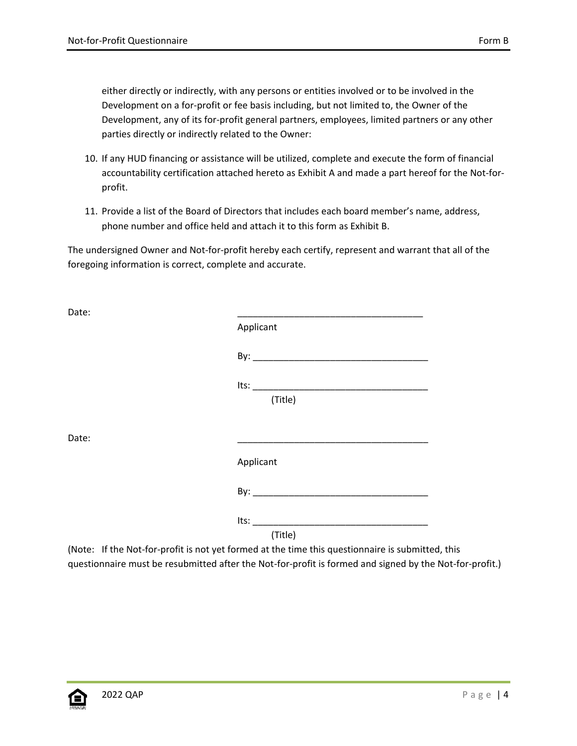either directly or indirectly, with any persons or entities involved or to be involved in the Development on a for-profit or fee basis including, but not limited to, the Owner of the Development, any of its for-profit general partners, employees, limited partners or any other parties directly or indirectly related to the Owner:

- 10. If any HUD financing or assistance will be utilized, complete and execute the form of financial accountability certification attached hereto as Exhibit A and made a part hereof for the Not-forprofit.
- 11. Provide a list of the Board of Directors that includes each board member's name, address, phone number and office held and attach it to this form as Exhibit B.

The undersigned Owner and Not-for-profit hereby each certify, represent and warrant that all of the foregoing information is correct, complete and accurate.

| Date: |           |
|-------|-----------|
|       | Applicant |
|       |           |
|       |           |
|       | (Title)   |
|       |           |
| Date: |           |
|       | Applicant |
|       |           |
|       | Its:      |
|       | (Title)   |

(Note: If the Not-for-profit is not yet formed at the time this questionnaire is submitted, this questionnaire must be resubmitted after the Not-for-profit is formed and signed by the Not-for-profit.)